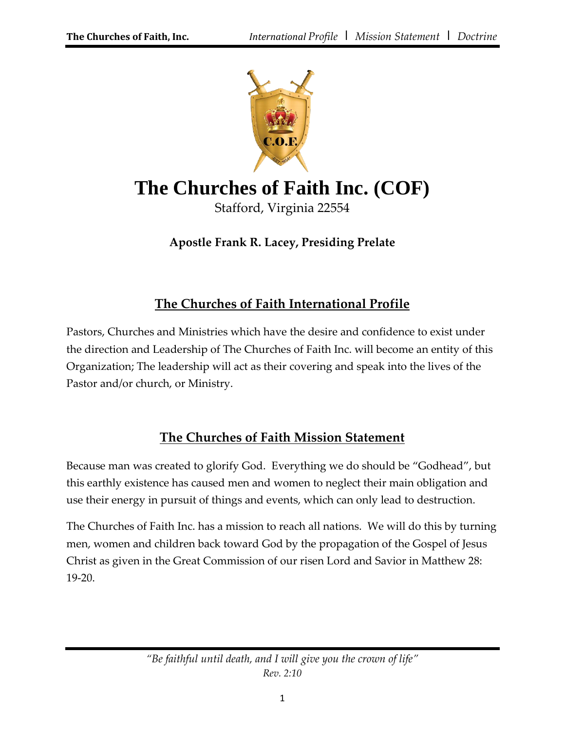

# **The Churches of Faith Inc. (COF)**

Stafford, Virginia 22554

**Apostle Frank R. Lacey, Presiding Prelate**

# **The Churches of Faith International Profile**

Pastors, Churches and Ministries which have the desire and confidence to exist under the direction and Leadership of The Churches of Faith Inc. will become an entity of this Organization; The leadership will act as their covering and speak into the lives of the Pastor and/or church, or Ministry.

# **The Churches of Faith Mission Statement**

Because man was created to glorify God. Everything we do should be "Godhead", but this earthly existence has caused men and women to neglect their main obligation and use their energy in pursuit of things and events, which can only lead to destruction.

The Churches of Faith Inc. has a mission to reach all nations. We will do this by turning men, women and children back toward God by the propagation of the Gospel of Jesus Christ as given in the Great Commission of our risen Lord and Savior in Matthew 28: 19-20.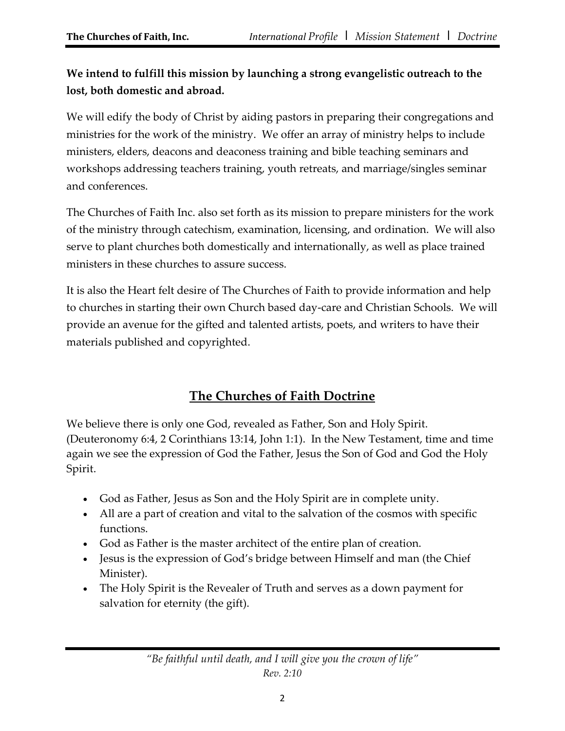# **We intend to fulfill this mission by launching a strong evangelistic outreach to the lost, both domestic and abroad.**

We will edify the body of Christ by aiding pastors in preparing their congregations and ministries for the work of the ministry. We offer an array of ministry helps to include ministers, elders, deacons and deaconess training and bible teaching seminars and workshops addressing teachers training, youth retreats, and marriage/singles seminar and conferences.

The Churches of Faith Inc. also set forth as its mission to prepare ministers for the work of the ministry through catechism, examination, licensing, and ordination. We will also serve to plant churches both domestically and internationally, as well as place trained ministers in these churches to assure success.

It is also the Heart felt desire of The Churches of Faith to provide information and help to churches in starting their own Church based day-care and Christian Schools. We will provide an avenue for the gifted and talented artists, poets, and writers to have their materials published and copyrighted.

# **The Churches of Faith Doctrine**

We believe there is only one God, revealed as Father, Son and Holy Spirit. (Deuteronomy 6:4, 2 Corinthians 13:14, John 1:1). In the New Testament, time and time again we see the expression of God the Father, Jesus the Son of God and God the Holy Spirit.

- God as Father, Jesus as Son and the Holy Spirit are in complete unity.
- All are a part of creation and vital to the salvation of the cosmos with specific functions.
- God as Father is the master architect of the entire plan of creation.
- Jesus is the expression of God's bridge between Himself and man (the Chief Minister).
- The Holy Spirit is the Revealer of Truth and serves as a down payment for salvation for eternity (the gift).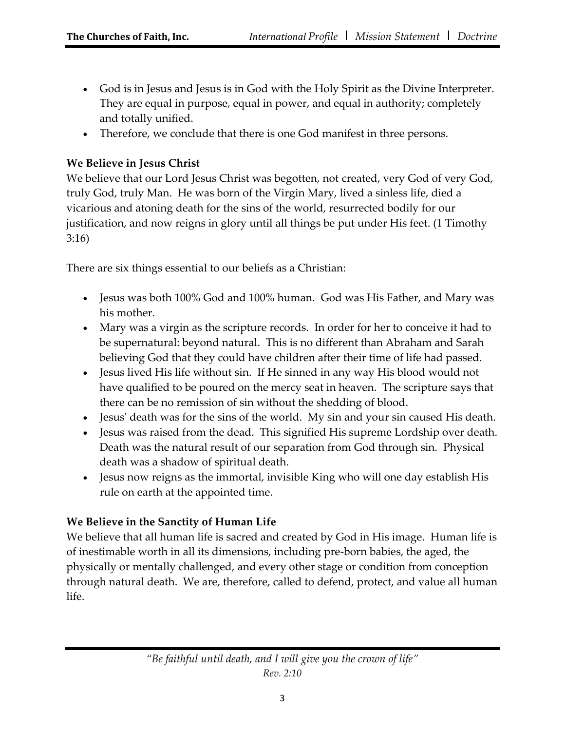- God is in Jesus and Jesus is in God with the Holy Spirit as the Divine Interpreter. They are equal in purpose, equal in power, and equal in authority; completely and totally unified.
- Therefore, we conclude that there is one God manifest in three persons.

#### **We Believe in Jesus Christ**

We believe that our Lord Jesus Christ was begotten, not created, very God of very God, truly God, truly Man. He was born of the Virgin Mary, lived a sinless life, died a vicarious and atoning death for the sins of the world, resurrected bodily for our justification, and now reigns in glory until all things be put under His feet. (1 Timothy 3:16)

There are six things essential to our beliefs as a Christian:

- Jesus was both 100% God and 100% human. God was His Father, and Mary was his mother.
- Mary was a virgin as the scripture records. In order for her to conceive it had to be supernatural: beyond natural. This is no different than Abraham and Sarah believing God that they could have children after their time of life had passed.
- Jesus lived His life without sin. If He sinned in any way His blood would not have qualified to be poured on the mercy seat in heaven. The scripture says that there can be no remission of sin without the shedding of blood.
- Jesus' death was for the sins of the world. My sin and your sin caused His death.
- Jesus was raised from the dead. This signified His supreme Lordship over death. Death was the natural result of our separation from God through sin. Physical death was a shadow of spiritual death.
- Jesus now reigns as the immortal, invisible King who will one day establish His rule on earth at the appointed time.

## **We Believe in the Sanctity of Human Life**

We believe that all human life is sacred and created by God in His image. Human life is of inestimable worth in all its dimensions, including pre-born babies, the aged, the physically or mentally challenged, and every other stage or condition from conception through natural death. We are, therefore, called to defend, protect, and value all human life.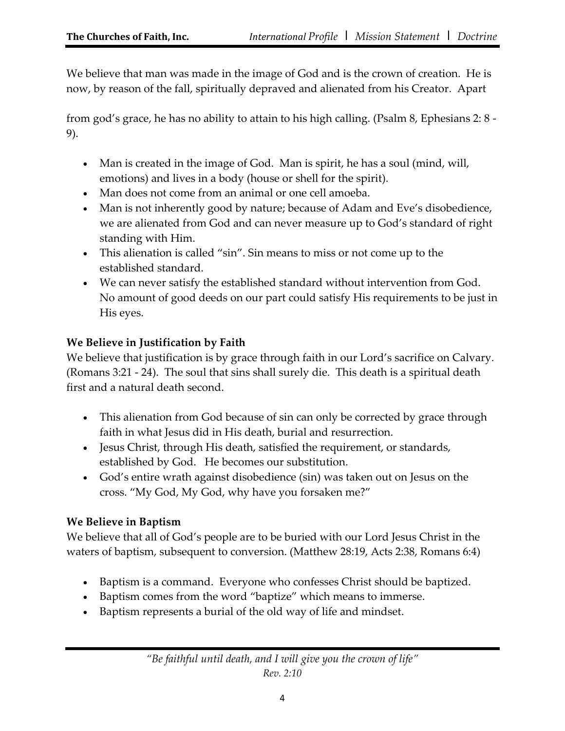We believe that man was made in the image of God and is the crown of creation. He is now, by reason of the fall, spiritually depraved and alienated from his Creator. Apart

from god's grace, he has no ability to attain to his high calling. (Psalm 8, Ephesians 2: 8 - 9).

- Man is created in the image of God. Man is spirit, he has a soul (mind, will, emotions) and lives in a body (house or shell for the spirit).
- Man does not come from an animal or one cell amoeba.
- Man is not inherently good by nature; because of Adam and Eve's disobedience, we are alienated from God and can never measure up to God's standard of right standing with Him.
- This alienation is called "sin". Sin means to miss or not come up to the established standard.
- We can never satisfy the established standard without intervention from God. No amount of good deeds on our part could satisfy His requirements to be just in His eyes.

# **We Believe in Justification by Faith**

We believe that justification is by grace through faith in our Lord's sacrifice on Calvary. (Romans 3:21 - 24). The soul that sins shall surely die. This death is a spiritual death first and a natural death second.

- This alienation from God because of sin can only be corrected by grace through faith in what Jesus did in His death, burial and resurrection.
- Jesus Christ, through His death, satisfied the requirement, or standards, established by God. He becomes our substitution.
- God's entire wrath against disobedience (sin) was taken out on Jesus on the cross. "My God, My God, why have you forsaken me?"

# **We Believe in Baptism**

We believe that all of God's people are to be buried with our Lord Jesus Christ in the waters of baptism, subsequent to conversion. (Matthew 28:19, Acts 2:38, Romans 6:4)

- Baptism is a command. Everyone who confesses Christ should be baptized.
- Baptism comes from the word "baptize" which means to immerse.
- Baptism represents a burial of the old way of life and mindset.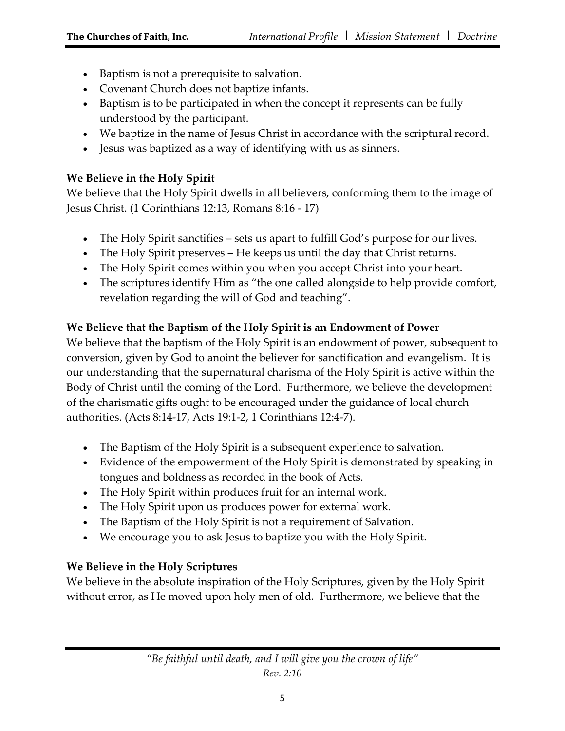- Baptism is not a prerequisite to salvation.
- Covenant Church does not baptize infants.
- Baptism is to be participated in when the concept it represents can be fully understood by the participant.
- We baptize in the name of Jesus Christ in accordance with the scriptural record.
- Jesus was baptized as a way of identifying with us as sinners.

#### **We Believe in the Holy Spirit**

We believe that the Holy Spirit dwells in all believers, conforming them to the image of Jesus Christ. (1 Corinthians 12:13, Romans 8:16 - 17)

- The Holy Spirit sanctifies sets us apart to fulfill God's purpose for our lives.
- The Holy Spirit preserves He keeps us until the day that Christ returns.
- The Holy Spirit comes within you when you accept Christ into your heart.
- The scriptures identify Him as "the one called alongside to help provide comfort, revelation regarding the will of God and teaching".

## **We Believe that the Baptism of the Holy Spirit is an Endowment of Power**

We believe that the baptism of the Holy Spirit is an endowment of power, subsequent to conversion, given by God to anoint the believer for sanctification and evangelism. It is our understanding that the supernatural charisma of the Holy Spirit is active within the Body of Christ until the coming of the Lord. Furthermore, we believe the development of the charismatic gifts ought to be encouraged under the guidance of local church authorities. (Acts 8:14-17, Acts 19:1-2, 1 Corinthians 12:4-7).

- The Baptism of the Holy Spirit is a subsequent experience to salvation.
- Evidence of the empowerment of the Holy Spirit is demonstrated by speaking in tongues and boldness as recorded in the book of Acts.
- The Holy Spirit within produces fruit for an internal work.
- The Holy Spirit upon us produces power for external work.
- The Baptism of the Holy Spirit is not a requirement of Salvation.
- We encourage you to ask Jesus to baptize you with the Holy Spirit.

## **We Believe in the Holy Scriptures**

We believe in the absolute inspiration of the Holy Scriptures, given by the Holy Spirit without error, as He moved upon holy men of old. Furthermore, we believe that the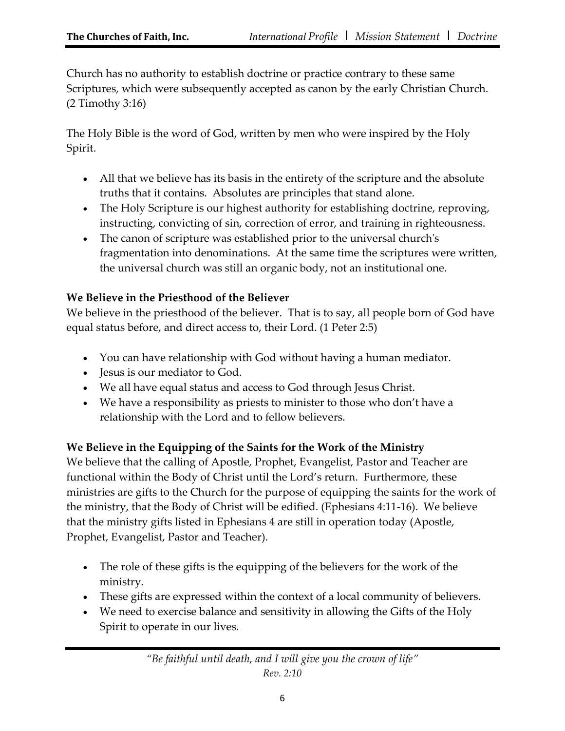Church has no authority to establish doctrine or practice contrary to these same Scriptures, which were subsequently accepted as canon by the early Christian Church. (2 Timothy 3:16)

The Holy Bible is the word of God, written by men who were inspired by the Holy Spirit.

- All that we believe has its basis in the entirety of the scripture and the absolute truths that it contains. Absolutes are principles that stand alone.
- The Holy Scripture is our highest authority for establishing doctrine, reproving, instructing, convicting of sin, correction of error, and training in righteousness.
- The canon of scripture was established prior to the universal church's fragmentation into denominations. At the same time the scriptures were written, the universal church was still an organic body, not an institutional one.

## **We Believe in the Priesthood of the Believer**

We believe in the priesthood of the believer. That is to say, all people born of God have equal status before, and direct access to, their Lord. (1 Peter 2:5)

- You can have relationship with God without having a human mediator.
- Jesus is our mediator to God.
- We all have equal status and access to God through Jesus Christ.
- We have a responsibility as priests to minister to those who don't have a relationship with the Lord and to fellow believers.

## **We Believe in the Equipping of the Saints for the Work of the Ministry**

We believe that the calling of Apostle, Prophet, Evangelist, Pastor and Teacher are functional within the Body of Christ until the Lord's return. Furthermore, these ministries are gifts to the Church for the purpose of equipping the saints for the work of the ministry, that the Body of Christ will be edified. (Ephesians 4:11-16). We believe that the ministry gifts listed in Ephesians 4 are still in operation today (Apostle, Prophet, Evangelist, Pastor and Teacher).

- The role of these gifts is the equipping of the believers for the work of the ministry.
- These gifts are expressed within the context of a local community of believers.
- We need to exercise balance and sensitivity in allowing the Gifts of the Holy Spirit to operate in our lives.

*"Be faithful until death, and I will give you the crown of life" Rev. 2:10*